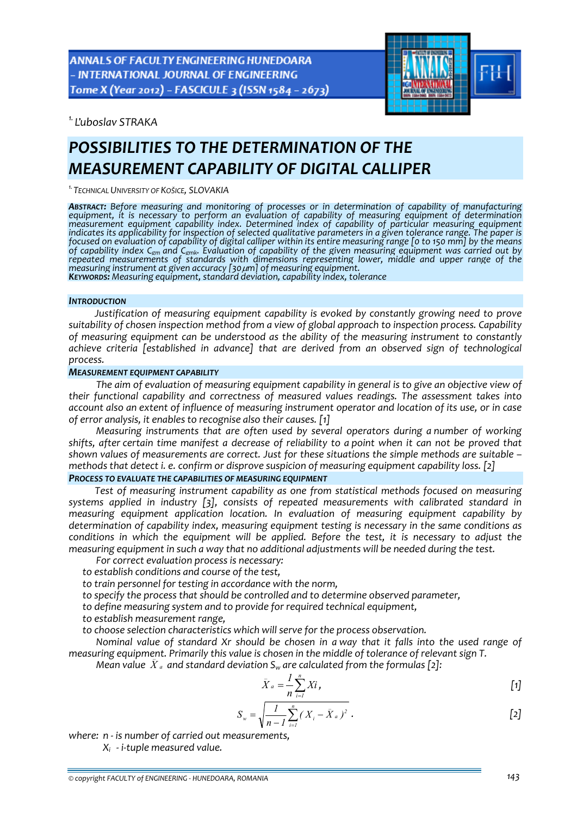ANNALS OF FACULTY ENGINEERING HUNEDOARA - INTERNATIONAL JOURNAL OF ENGINEERING Tome X (Year 2012) - FASCICULE 3 (ISSN 1584 - 2673)



*1. Ľuboslav STRAKA* 

# *POSSIBILITIES TO THE DETERMINATION OF THE MEASUREMENT CAPABILITY OF DIGITAL CALLIPER*

*1.TECHNICAL UNIVERSITY OF KOŠICE, SLOVAKIA*

**Abstract:** Before measuring and monitoring of processes or in determination of capability of manufacturing<br>equipment, it is necessary to perform an evaluation of capability of measuring equipment of determination measurement equipment capability index. Determined index of capability of particular measuring equipment<br>indicates its applicability for inspection of selected qualitative parameters in a given tolerance range. indicates its applicability for inspection of selected qualitative parameters in a given tolerance range. The paper is<br>focused on evaluation of capability of digital calliper within its entire measuring range [0 to 150 mm] of capability index C<sub>em</sub> and C<sub>emk</sub>. Evaluation of capability of the given measuring equipment was carried out by<br>repeated measurements of standards with dimensions representing lower, middle and upper range of the<br>measu **KEYWORDS:** Measuring equipment, standard deviation, capability index, tolerance

#### *INTRODUCTION*

*Justification of measuring equipment capability is evoked by constantly growing need to prove suitability of chosen inspection method from a view of global approach to inspection process. Capability of measuring equipment can be understood as the ability of the measuring instrument to constantly achieve criteria [established in advance] that are derived from an observed sign of technological process.*

## *MEASUREMENT EQUIPMENT CAPABILITY*

*The aim of evaluation of measuring equipment capability in general is to give an objective view of their functional capability and correctness of measured values readings. The assessment takes into* account also an extent of influence of measuring instrument operator and location of its use, or in case *of error analysis, it enables to recognise also their causes. [1]*

*Measuring instruments that are often used by several operators during a number of working* shifts, after certain time manifest a decrease of reliability to a point when it can not be proved that *shown values of measurements are correct. Just for these situations the simple methods are suitable – methods that detect i. e. confirm or disprove suspicion of measuring equipment capability loss. [2]*

# *PROCESS TO EVALUATE THE CAPABILITIES OF MEASURING EQUIPMENT*

*Test of measuring instrument capability as one from statistical methods focused on measuring systems applied in industry [3], consists of repeated measurements with calibrated standard in measuring equipment application location. In evaluation of measuring equipment capability by determination of capability index, measuring equipment testing is necessary in the same conditions as conditions in which the equipment will be applied. Before the test, it is necessary to adjust the measuring equipment in such a way that no additional adjustments will be needed during the test.*

*For correct evaluation process is necessary:*

*to establish conditions and course of the test,* 

*to train personnel for testing in accordance with the norm,* 

*to specify the process that should be controlled and to determine observed parameter,* 

*to define measuring system and to provide for required technical equipment,*

*to establish measurement range,* 

*to choose selection characteristics which will serve for the process observation.*

*Nominal value of standard Xr should be chosen in a way that it falls into the used range of* measuring equipment. Primarily this value is chosen in the middle of tolerance of relevant sign T.

Mean value  $\,\bar{X}\,$  and standard deviation S<sub>w</sub> are calculated from the formulas [2]:

$$
\bar{X}_a = \frac{1}{n} \sum_{i=1}^n X_i, \tag{1}
$$

$$
S_w = \sqrt{\frac{I}{n - I} \sum_{i=1}^{n} (X_i - \bar{X}_a)^2}
$$
 [2]

*where: n ‐ is number of carried out measurements,*

 *Xi ‐ i‐tuple measured value.*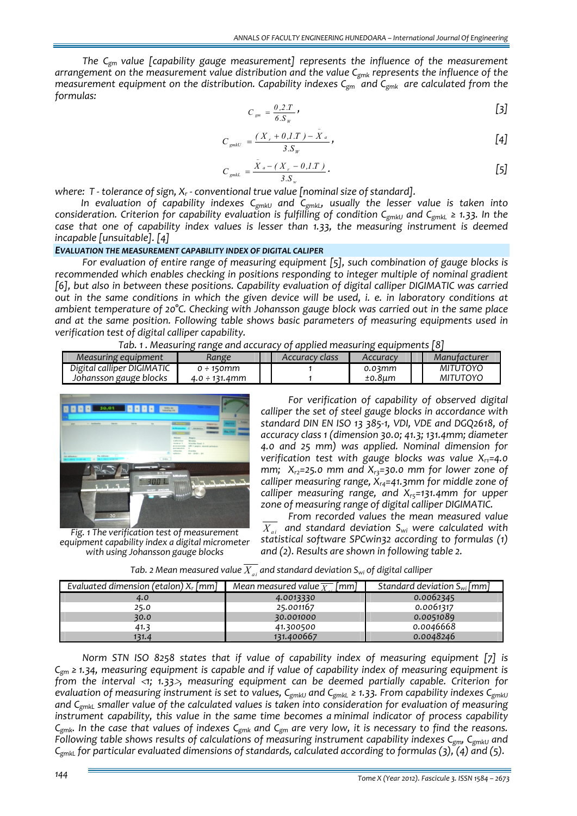*The Cgm value [capability gauge measurement] represents the influence of the measurement arrangement on the measurement value distribution and the value Cgmk represents the influence of the measurement equipment on the distribution. Capability indexes Cgm and Cgmk are calculated from the formulas:*

$$
C_{\rm g} = \frac{\theta, 2.T}{6.S_w} \tag{3}
$$

$$
C_{\text{gmkU}} = \frac{(X_r + 0.1 \cdot T) - \bar{X}_a}{3. S_w},
$$
 [4]

$$
C_{\text{gmtL}} = \frac{\bar{X}_a - (X_r - 0, I.T)}{3. S_w}.
$$
 [5]

*where: T ‐ tolerance of sign, Xr ‐ conventional true value [nominal size of standard].*

*In evaluation of capability indexes CgmkU and CgmkL, usually the lesser value is taken into consideration. Criterion for capability evaluation is fulfilling of condition C<sub>gmkU</sub> and C<sub>gmkL</sub> ≥ 1.33. In the case that one of capability index values is lesser than 1.33, the measuring instrument is deemed incapable [unsuitable]. [4]*

## *EVALUATION THE MEASUREMENT CAPABILITY INDEX OF DIGITAL CALIPER*

*For evaluation of entire range of measuring equipment [5], such combination of gauge blocks is recommended which enables checking in positions responding to integer multiple of nominal gradient [6], but also in between these positions. Capability evaluation of digital calliper DIGIMATIC was carried* out in the same conditions in which the given device will be used, i. e. in laboratory conditions at *ambient temperature of 20°C. Checking with Johansson gauge block was carried out in the same place and at the same position. Following table shows basic parameters of measuring equipments used in verification test of digital calliper capability.*

| Tab. 1. Measuring range and accuracy of applied measuring equipments [8] |  |  |
|--------------------------------------------------------------------------|--|--|
|                                                                          |  |  |

| Measuring equipment        | Range                      | Accuracy class | Accuracy | Manutacturer |
|----------------------------|----------------------------|----------------|----------|--------------|
| Digital calliper DIGIMATIC | $0\div 150$ mm             |                | 0.03mm   | MITUTOYO     |
| Johansson gauge blocks     | $4.0 \div 131.4 \text{mm}$ |                | ±0.8um   | MITUTOYO     |



*Fig. 1 The verification test of measurement equipment capability index a digital micrometer with using Johansson gauge blocks*

*For verification of capability of observed digital calliper the set of steel gauge blocks in accordance with standard DIN EN ISO 13 385‐1, VDI, VDE and DGQ2618, of accuracy class 1 (dimension 30.0; 41.3; 131.4mm; diameter 4.0 and 25 mm) was applied. Nominal dimension for verification test with gauge blocks was value*  $X_{r1} = 4.0$ *mm;*  $X_{r2}=25.0$  *mm* and  $X_{r3}=30.0$  *mm* for lower zone of *calliper measuring range, Xr4=41.3mm for middle zone of calliper measuring range, and*  $X_{rs}$ =131.4mm for *upper zone of measuring range of digital calliper DIGIMATIC.* 

*From recorded values the mean measured value*  $\overline{X}_{ai}$  and standard deviation  $S_{wi}$  were calculated with *statistical software SPCwin32 according to formulas (1) and (2). Results are shown in following table 2.*

| Evaluated dimension (etalon) $X_r$ [mm] | $\lceil mm \rceil$<br>Mean measured value $\overline{X}$ | Standard deviation $S_{wi}$ [mm] |
|-----------------------------------------|----------------------------------------------------------|----------------------------------|
| 4.0                                     | 4.0013330                                                | 0.0062345                        |
| 25.0                                    | 25.001167                                                | 0.0061317                        |
| 30.0                                    | 30.001000                                                | 0.0051089                        |
| 41.3                                    | 41.300500                                                | 0.0046668                        |
| 131.4                                   | 131.400667                                               | 0.0048246                        |

*Tab.* 2 Mean measured value  $\overline{X_{ai}}$  and standard deviation S<sub>wi</sub> of digital calliper

*Norm STN ISO 8258 states that if value of capability index of measuring equipment [7] is Cgm ≥ 1.34, measuring equipment is capable and if value of capability index of measuring equipment is from the interval* <sup>&</sup>lt;*1; 1.33*>*, measuring equipment can be deemed partially capable. Criterion for* evaluation of measuring instrument is set to values, C<sub>gmkU</sub> and C<sub>gmkL</sub>  $\geq$  1.33. From capability indexes C<sub>gmkU</sub> *and CgmkL smaller value of the calculated values is taken into consideration for evaluation of measuring instrument capability, this value in the same time becomes a minimal indicator of process capability*  $C_{gmk}$ . In the case that values of indexes  $C_{gmk}$  and  $C_{gm}$  are very low, it is necessary to find the reasons. *Following table shows results of calculations of measuring instrument capability indexes Cgm, CgmkU and CgmkL for particular evaluated dimensions of standards, calculated according to formulas (3), (4) and (5).*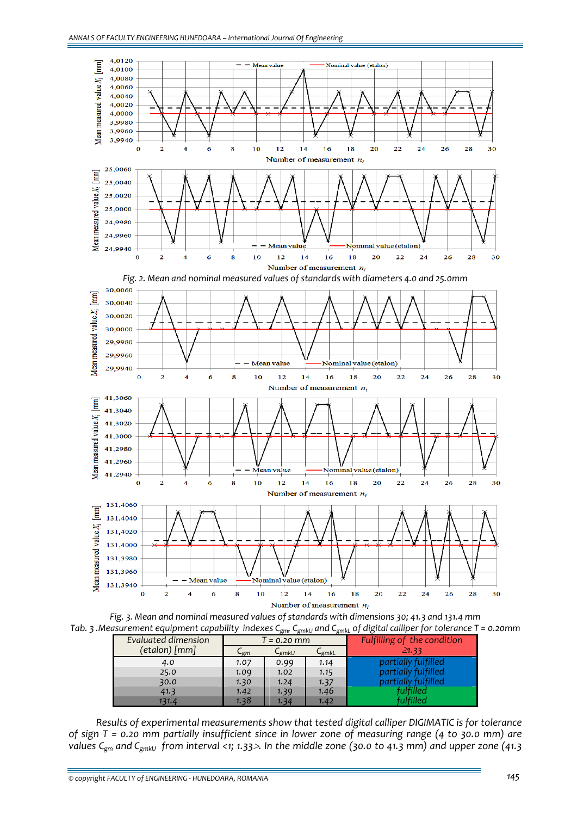

*Fig. 3. Mean and nominal measured values of standards with dimensions 30; 41.3 and 131.4 mm* Tab. 3. Measurement equipment capability indexes C<sub>gm</sub>, C<sub>gmkU</sub> and C<sub>gmk</sub>, of digital calliper for tolerance T = 0.20mm

| Evaluated dimension | $\overline{B}$ $\overline{B}$<br>-gilin L - J - - O |                   |          |                             |  |  |
|---------------------|-----------------------------------------------------|-------------------|----------|-----------------------------|--|--|
|                     | T = 0.20 mm                                         |                   |          | Fulfilling of the condition |  |  |
| (etalon) [mm]       | ∟gm                                                 | ∟ <sub>gmkU</sub> | $-$ gmkL | $\geq 1.33$                 |  |  |
| 4.0                 | 1.07                                                | 0.99              | 1.14     | partially fulfilled         |  |  |
| 25.0                | 1.09                                                | 1.02              | 1.15     | partially fulfilled         |  |  |
| 30.0                | 1.30                                                | 1.24              | 1.37     | partially fulfilled         |  |  |
| 41.3                | 1.42                                                | 1.39              | 1.46     | fulfilled                   |  |  |
| 131.4               | 1.38                                                | 1.34              | 1.42     | fulfilled                   |  |  |

*Results of experimental measurements show that tested digital calliper DIGIMATIC is for tolerance* of sign T = 0.20 mm partially insufficient since in lower zone of measuring range (4 to 30.0 mm) are values C<sub>gm</sub> and C<sub>gmku</sub> from interval <1; 1.33>. In the middle zone (30.0 to 41.3 mm) and upper zone (41.3